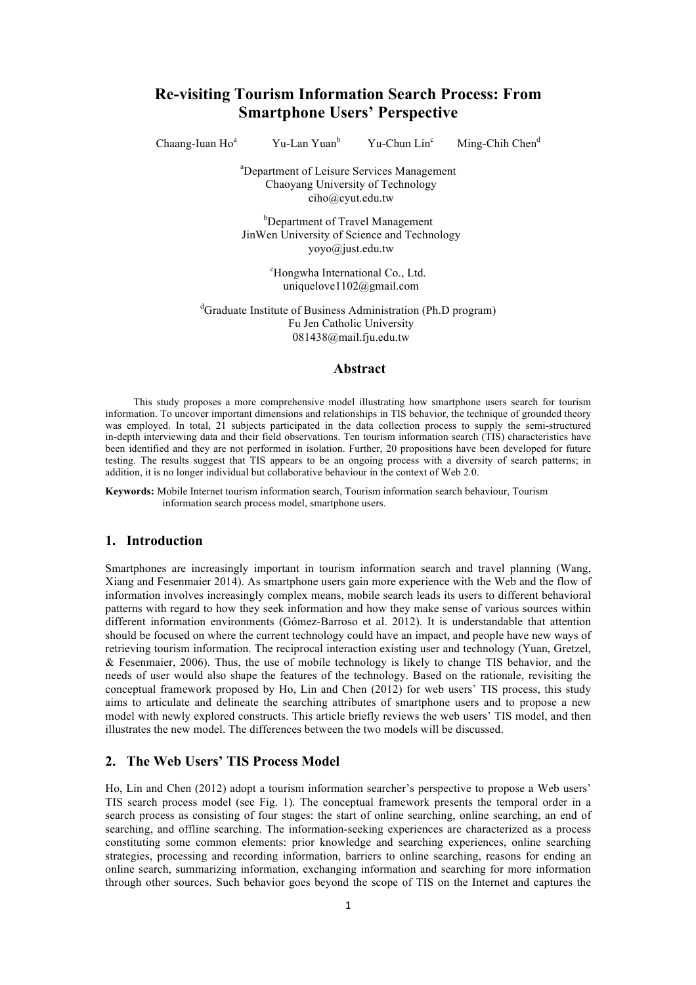# **Re-visiting Tourism Information Search Process: From Smartphone Users' Perspective**

Chaang-Iuan  $Ho<sup>a</sup>$ 

Yu-Lan Yuan<sup>b</sup> Yu-Chun Lin<sup>c</sup>

Ming-Chih Chen $<sup>d</sup>$ </sup>

a Department of Leisure Services Management Chaoyang University of Technology ciho@cyut.edu.tw

<sup>b</sup>Department of Travel Management JinWen University of Science and Technology yoyo@just.edu.tw

> <sup>c</sup>Hongwha International Co., Ltd. uniquelove1102@gmail.com

<sup>d</sup>Graduate Institute of Business Administration (Ph.D program) Fu Jen Catholic University 081438@mail.fju.edu.tw

#### **Abstract**

This study proposes a more comprehensive model illustrating how smartphone users search for tourism information. To uncover important dimensions and relationships in TIS behavior, the technique of grounded theory was employed. In total, 21 subjects participated in the data collection process to supply the semi-structured in-depth interviewing data and their field observations. Ten tourism information search (TIS) characteristics have been identified and they are not performed in isolation. Further, 20 propositions have been developed for future testing. The results suggest that TIS appears to be an ongoing process with a diversity of search patterns; in addition, it is no longer individual but collaborative behaviour in the context of Web 2.0.

**Keywords:** Mobile Internet tourism information search, Tourism information search behaviour, Tourism information search process model, smartphone users.

### **1. Introduction**

Smartphones are increasingly important in tourism information search and travel planning (Wang, Xiang and Fesenmaier 2014). As smartphone users gain more experience with the Web and the flow of information involves increasingly complex means, mobile search leads its users to different behavioral patterns with regard to how they seek information and how they make sense of various sources within different information environments (Gómez-Barroso et al. 2012). It is understandable that attention should be focused on where the current technology could have an impact, and people have new ways of retrieving tourism information. The reciprocal interaction existing user and technology (Yuan, Gretzel, & Fesenmaier, 2006). Thus, the use of mobile technology is likely to change TIS behavior, and the needs of user would also shape the features of the technology. Based on the rationale, revisiting the conceptual framework proposed by Ho, Lin and Chen (2012) for web users' TIS process, this study aims to articulate and delineate the searching attributes of smartphone users and to propose a new model with newly explored constructs. This article briefly reviews the web users' TIS model, and then illustrates the new model. The differences between the two models will be discussed.

## **2. The Web Users' TIS Process Model**

Ho, Lin and Chen (2012) adopt a tourism information searcher's perspective to propose a Web users' TIS search process model (see Fig. 1). The conceptual framework presents the temporal order in a search process as consisting of four stages: the start of online searching, online searching, an end of searching, and offline searching. The information-seeking experiences are characterized as a process constituting some common elements: prior knowledge and searching experiences, online searching strategies, processing and recording information, barriers to online searching, reasons for ending an online search, summarizing information, exchanging information and searching for more information through other sources. Such behavior goes beyond the scope of TIS on the Internet and captures the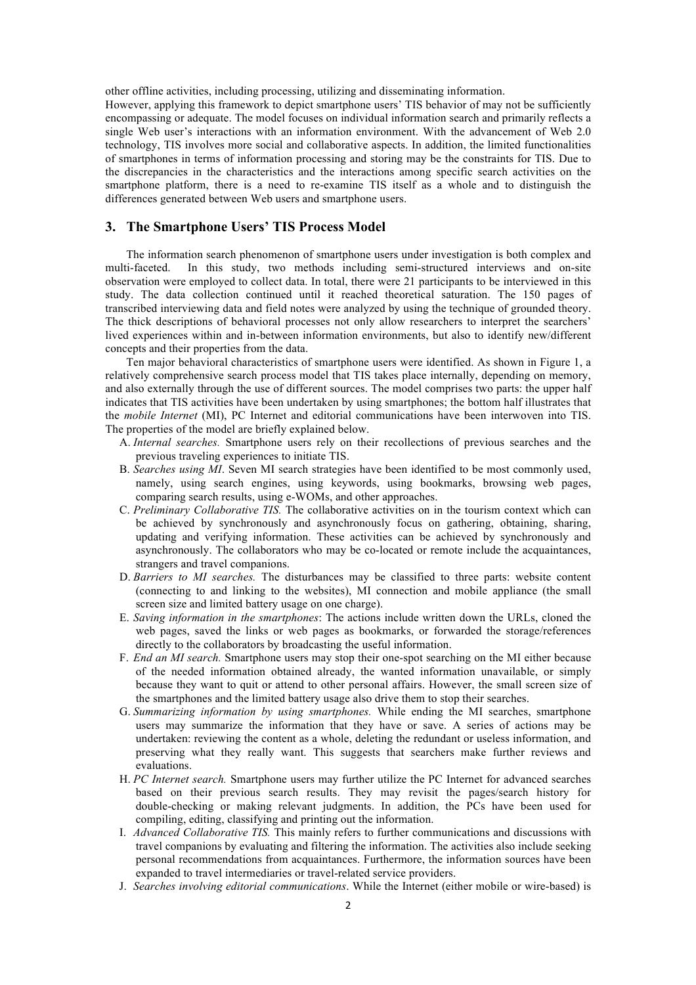other offline activities, including processing, utilizing and disseminating information.

However, applying this framework to depict smartphone users' TIS behavior of may not be sufficiently encompassing or adequate. The model focuses on individual information search and primarily reflects a single Web user's interactions with an information environment. With the advancement of Web 2.0 technology, TIS involves more social and collaborative aspects. In addition, the limited functionalities of smartphones in terms of information processing and storing may be the constraints for TIS. Due to the discrepancies in the characteristics and the interactions among specific search activities on the smartphone platform, there is a need to re-examine TIS itself as a whole and to distinguish the differences generated between Web users and smartphone users.

### **3. The Smartphone Users' TIS Process Model**

The information search phenomenon of smartphone users under investigation is both complex and multi-faceted. In this study, two methods including semi-structured interviews and on-site observation were employed to collect data. In total, there were 21 participants to be interviewed in this study. The data collection continued until it reached theoretical saturation. The 150 pages of transcribed interviewing data and field notes were analyzed by using the technique of grounded theory. The thick descriptions of behavioral processes not only allow researchers to interpret the searchers' lived experiences within and in-between information environments, but also to identify new/different concepts and their properties from the data.

Ten major behavioral characteristics of smartphone users were identified. As shown in Figure 1, a relatively comprehensive search process model that TIS takes place internally, depending on memory, and also externally through the use of different sources. The model comprises two parts: the upper half indicates that TIS activities have been undertaken by using smartphones; the bottom half illustrates that the *mobile Internet* (MI), PC Internet and editorial communications have been interwoven into TIS. The properties of the model are briefly explained below.

- A. *Internal searches.* Smartphone users rely on their recollections of previous searches and the previous traveling experiences to initiate TIS.
- B. *Searches using MI*. Seven MI search strategies have been identified to be most commonly used, namely, using search engines, using keywords, using bookmarks, browsing web pages, comparing search results, using e-WOMs, and other approaches.
- C. *Preliminary Collaborative TIS.* The collaborative activities on in the tourism context which can be achieved by synchronously and asynchronously focus on gathering, obtaining, sharing, updating and verifying information. These activities can be achieved by synchronously and asynchronously. The collaborators who may be co-located or remote include the acquaintances, strangers and travel companions.
- D. *Barriers to MI searches.* The disturbances may be classified to three parts: website content (connecting to and linking to the websites), MI connection and mobile appliance (the small screen size and limited battery usage on one charge).
- E. *Saving information in the smartphones*: The actions include written down the URLs, cloned the web pages, saved the links or web pages as bookmarks, or forwarded the storage/references directly to the collaborators by broadcasting the useful information.
- F. *End an MI search.* Smartphone users may stop their one-spot searching on the MI either because of the needed information obtained already, the wanted information unavailable, or simply because they want to quit or attend to other personal affairs. However, the small screen size of the smartphones and the limited battery usage also drive them to stop their searches.
- G. *Summarizing information by using smartphones.* While ending the MI searches, smartphone users may summarize the information that they have or save. A series of actions may be undertaken: reviewing the content as a whole, deleting the redundant or useless information, and preserving what they really want. This suggests that searchers make further reviews and evaluations.
- H. *PC Internet search.* Smartphone users may further utilize the PC Internet for advanced searches based on their previous search results. They may revisit the pages/search history for double-checking or making relevant judgments. In addition, the PCs have been used for compiling, editing, classifying and printing out the information.
- I. *Advanced Collaborative TIS.* This mainly refers to further communications and discussions with travel companions by evaluating and filtering the information. The activities also include seeking personal recommendations from acquaintances. Furthermore, the information sources have been expanded to travel intermediaries or travel-related service providers.
- J. *Searches involving editorial communications*. While the Internet (either mobile or wire-based) is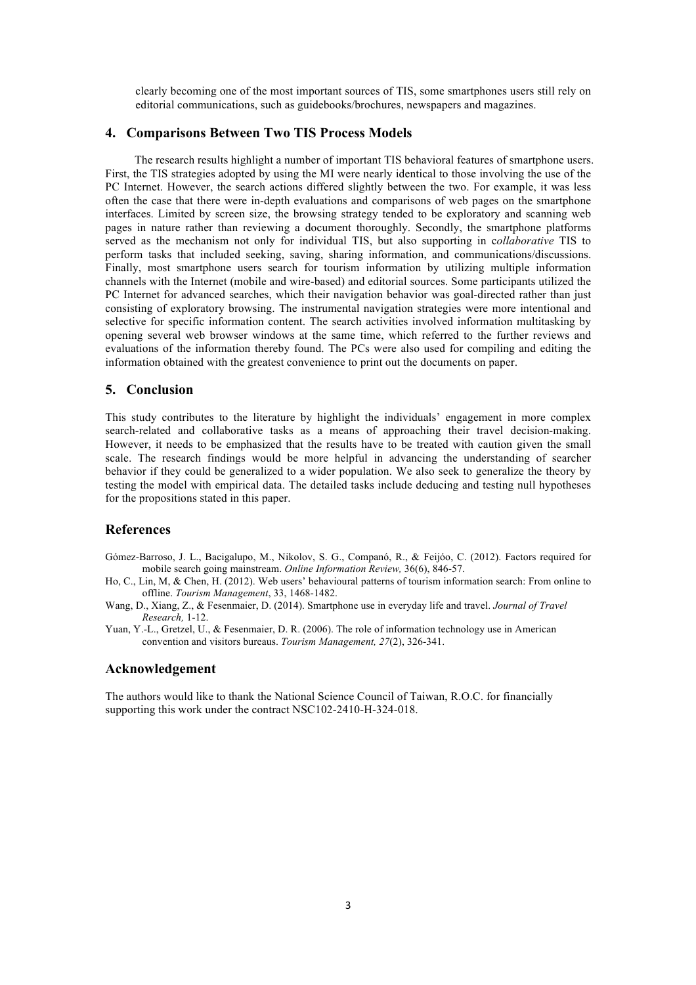clearly becoming one of the most important sources of TIS, some smartphones users still rely on editorial communications, such as guidebooks/brochures, newspapers and magazines.

### **4. Comparisons Between Two TIS Process Models**

The research results highlight a number of important TIS behavioral features of smartphone users. First, the TIS strategies adopted by using the MI were nearly identical to those involving the use of the PC Internet. However, the search actions differed slightly between the two. For example, it was less often the case that there were in-depth evaluations and comparisons of web pages on the smartphone interfaces. Limited by screen size, the browsing strategy tended to be exploratory and scanning web pages in nature rather than reviewing a document thoroughly. Secondly, the smartphone platforms served as the mechanism not only for individual TIS, but also supporting in c*ollaborative* TIS to perform tasks that included seeking, saving, sharing information, and communications/discussions. Finally, most smartphone users search for tourism information by utilizing multiple information channels with the Internet (mobile and wire-based) and editorial sources. Some participants utilized the PC Internet for advanced searches, which their navigation behavior was goal-directed rather than just consisting of exploratory browsing. The instrumental navigation strategies were more intentional and selective for specific information content. The search activities involved information multitasking by opening several web browser windows at the same time, which referred to the further reviews and evaluations of the information thereby found. The PCs were also used for compiling and editing the information obtained with the greatest convenience to print out the documents on paper.

### **5. Conclusion**

This study contributes to the literature by highlight the individuals' engagement in more complex search-related and collaborative tasks as a means of approaching their travel decision-making. However, it needs to be emphasized that the results have to be treated with caution given the small scale. The research findings would be more helpful in advancing the understanding of searcher behavior if they could be generalized to a wider population. We also seek to generalize the theory by testing the model with empirical data. The detailed tasks include deducing and testing null hypotheses for the propositions stated in this paper.

### **References**

- Gómez-Barroso, J. L., Bacigalupo, M., Nikolov, S. G., Companó, R., & Feijóo, C. (2012). Factors required for mobile search going mainstream. *Online Information Review,* 36(6), 846-57.
- Ho, C., Lin, M, & Chen, H. (2012). Web users' behavioural patterns of tourism information search: From online to offline. *Tourism Management*, 33, 1468-1482.
- Wang, D., Xiang, Z., & Fesenmaier, D. (2014). Smartphone use in everyday life and travel. *Journal of Travel Research,* 1-12.
- Yuan, Y.-L., Gretzel, U., & Fesenmaier, D. R. (2006). The role of information technology use in American convention and visitors bureaus. *Tourism Management, 27*(2), 326-341.

#### **Acknowledgement**

The authors would like to thank the National Science Council of Taiwan, R.O.C. for financially supporting this work under the contract NSC102-2410-H-324-018.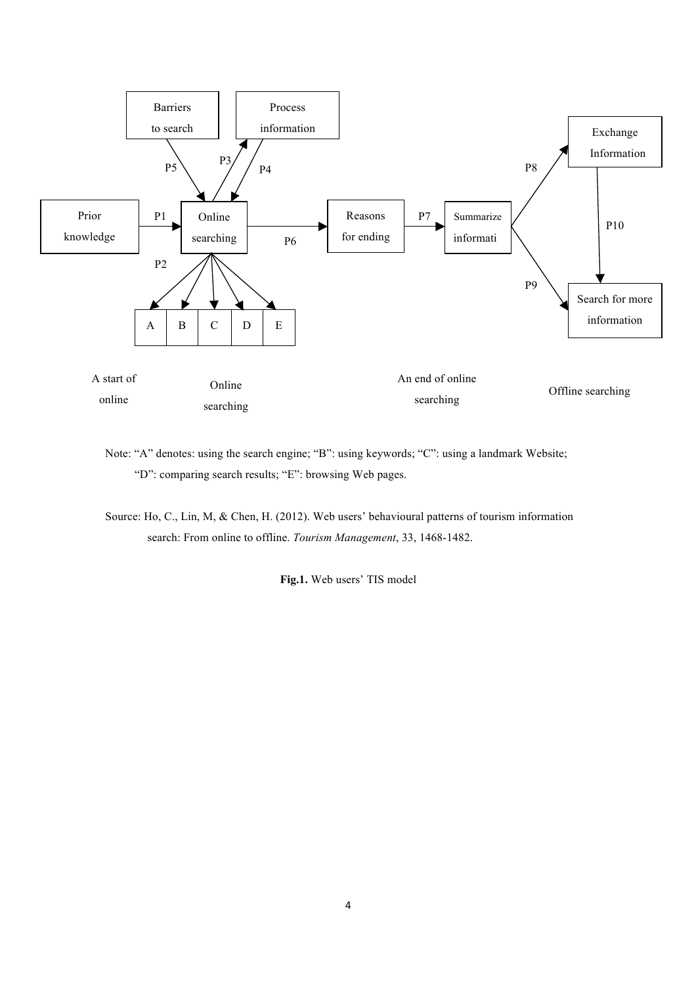

Note: "A" denotes: using the search engine; "B": using keywords; "C": using a landmark Website; "D": comparing search results; "E": browsing Web pages.

Source: Ho, C., Lin, M, & Chen, H. (2012). Web users' behavioural patterns of tourism information search: From online to offline. *Tourism Management*, 33, 1468-1482.

**Fig.1.** Web users' TIS model